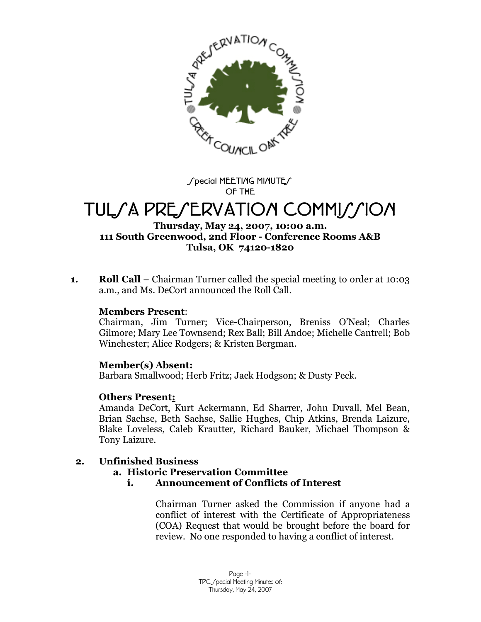

Special MEETIAG MIAUTES **OF THE**

# TUL*SA PRESERVATION COMMISSION*

# **Thursday, May 24, 2007, 10:00 a.m. 111 South Greenwood, 2nd Floor - Conference Rooms A&B Tulsa, OK 74120-1820**

**1. Roll Call** –Chairman Turner called the special meeting to order at 10:03 a.m., and Ms. DeCort announced the Roll Call.

# **Members Present**:

Chairman, Jim Turner; Vice-Chairperson, Breniss O'Neal; Charles Gilmore; Mary Lee Townsend; Rex Ball; Bill Andoe; Michelle Cantrell; Bob Winchester; Alice Rodgers; & Kristen Bergman.

# **Member(s) Absent:**

Barbara Smallwood; Herb Fritz; Jack Hodgson; & Dusty Peck.

# **Others Present:**

Amanda DeCort, Kurt Ackermann, Ed Sharrer, John Duvall, Mel Bean, Brian Sachse, Beth Sachse, Sallie Hughes, Chip Atkins, Brenda Laizure, Blake Loveless, Caleb Krautter, Richard Bauker, Michael Thompson & Tony Laizure.

# **2. Unfinished Business**

# **a. Historic Preservation Committee**

**i. Announcement of Conflicts of Interest**

Chairman Turner asked the Commission if anyone had a conflict of interest with the Certificate of Appropriateness (COA) Request that would be brought before the board for review. No one responded to having a conflict of interest.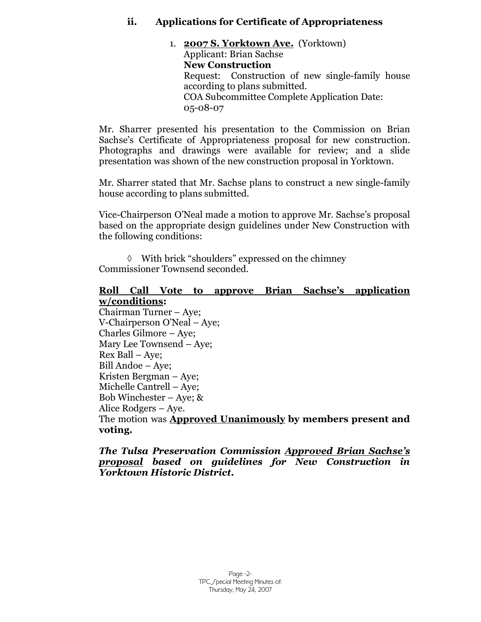# **ii. Applications for Certificate of Appropriateness**

1. **2007 S. Yorktown Ave.** (Yorktown) Applicant: Brian Sachse **New Construction** Request: Construction of new single-family house according to plans submitted. COA Subcommittee Complete Application Date: 05-08-07

Mr. Sharrer presented his presentation to the Commission on Brian Sachse's Certificate of Appropriateness proposal for new construction. Photographs and drawings were available for review; and a slide presentation was shown of the new construction proposal in Yorktown.

Mr. Sharrer stated that Mr. Sachse plans to construct a new single-family house according to plans submitted.

Vice-Chairperson O'Neal made a motion to approve Mr. Sachse's proposal based on the appropriate design guidelines under New Construction with the following conditions:

 $\Diamond$  With brick "shoulders" expressed on the chimney Commissioner Townsend seconded.

#### **Roll Call Vote to approve Brian Sachse's application w/conditions:**

Chairman Turner – Aye; V-Chairperson O'Neal – Aye; Charles Gilmore – Aye; Mary Lee Townsend – Aye; Rex Ball – Aye; Bill Andoe – Aye; Kristen Bergman – Aye; Michelle Cantrell –Aye; Bob Winchester – Aye;  $\&$ Alice Rodgers – Aye. The motion was **Approved Unanimously by members present and voting.**

*The Tulsa Preservation Commission Approved Brian Sachse's proposal based on guidelines for New Construction in Yorktown Historic District.*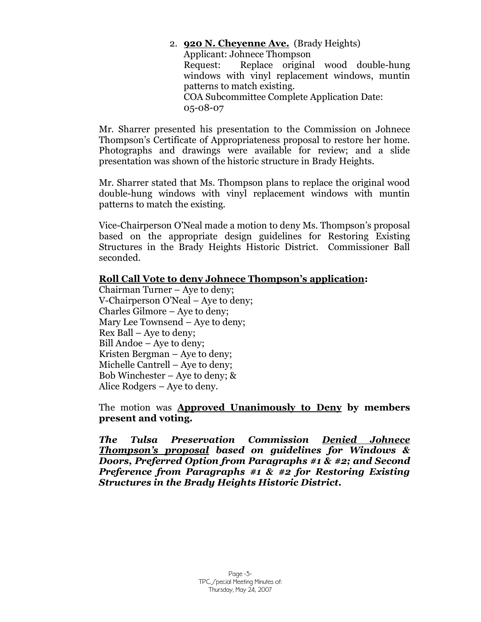# 2. **920 N. Cheyenne Ave.** (Brady Heights) Applicant: Johnece Thompson Request: Replace original wood double-hung windows with vinyl replacement windows, muntin patterns to match existing. COA Subcommittee Complete Application Date: 05-08-07

Mr. Sharrer presented his presentation to the Commission on Johnece Thompson's Certificate of Appropriateness proposal to restore her home. Photographs and drawings were available for review; and a slide presentation was shown of the historic structure in Brady Heights.

Mr. Sharrer stated that Ms. Thompson plans to replace the original wood double-hung windows with vinyl replacement windows with muntin patterns to match the existing.

Vice-Chairperson O'Neal made a motion to deny Ms. Thompson's proposal based on the appropriate design guidelines for Restoring Existing Structures in the Brady Heights Historic District. Commissioner Ball seconded.

#### **Roll Call Vote to deny Johnece Thompson's application:**

Chairman Turner – Aye to deny; V-Chairperson O'Neal – Aye to deny; Charles Gilmore – Aye to deny; Mary Lee Townsend – Aye to deny; Rex Ball – Aye to deny; Bill Andoe – Aye to deny; Kristen Bergman – Aye to deny; Michelle Cantrell – Aye to deny; Bob Winchester – Aye to deny; & Alice Rodgers – Aye to deny.

The motion was **Approved Unanimously to Deny by members present and voting.**

*The Tulsa Preservation Commission Denied Johnece Thompson's proposal based on guidelines for Windows & Doors, Preferred Option from Paragraphs #1 & #2; and Second Preference from Paragraphs #1 & #2 for Restoring Existing Structures in the Brady Heights Historic District.*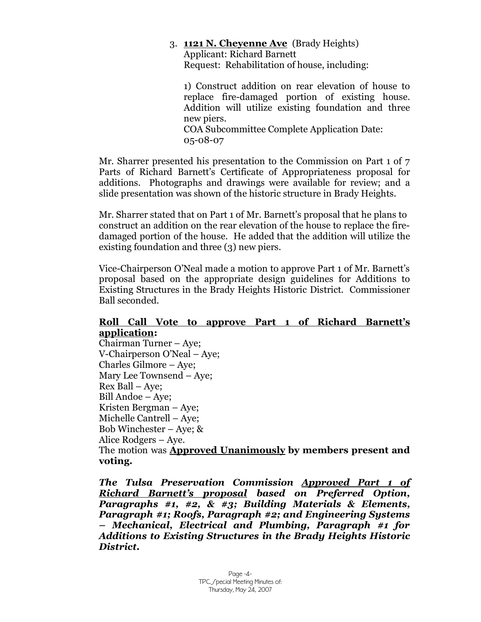#### 3. **1121 N. Cheyenne Ave** (Brady Heights) Applicant: Richard Barnett Request: Rehabilitation of house, including:

1) Construct addition on rear elevation of house to replace fire-damaged portion of existing house. Addition will utilize existing foundation and three new piers.

COA Subcommittee Complete Application Date: 05-08-07

Mr. Sharrer presented his presentation to the Commission on Part 1 of 7 Parts of Richard Barnett's Certificate of Appropriateness proposal for additions. Photographs and drawings were available for review; and a slide presentation was shown of the historic structure in Brady Heights.

Mr. Sharrer stated that on Part 1 of Mr. Barnett's proposal that he plans to construct an addition on the rear elevation of the house to replace the firedamaged portion of the house. He added that the addition will utilize the existing foundation and three (3) new piers.

Vice-Chairperson O'Neal made a motion to approve Part 1 of Mr. Barnett's proposal based on the appropriate design guidelines for Additions to Existing Structures in the Brady Heights Historic District. Commissioner Ball seconded.

# **Roll Call Vote to approve Part 1 of Richard Barnett's application:**

Chairman Turner – Aye; V-Chairperson O'Neal – Aye; Charles Gilmore – Aye; Mary Lee Townsend – Aye; Rex Ball – Aye; Bill Andoe – Aye; Kristen Bergman – Aye; Michelle Cantrell – Aye; Bob Winchester – Aye;  $\&$ Alice Rodgers – Aye. The motion was **Approved Unanimously by members present and voting.**

*The Tulsa Preservation Commission Approved Part 1 of Richard Barnett's proposal based on Preferred Option, Paragraphs #1, #2, & #3; Building Materials & Elements, Paragraph #1; Roofs, Paragraph #2; and Engineering Systems – Mechanical, Electrical and Plumbing, Paragraph #1 for Additions to Existing Structures in the Brady Heights Historic District.*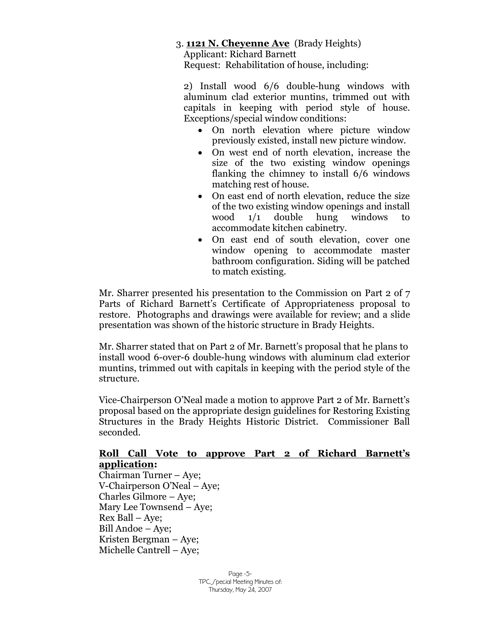# 3. **1121 N. Cheyenne Ave** (Brady Heights)

Applicant: Richard Barnett

Request: Rehabilitation of house, including:

2) Install wood 6/6 double-hung windows with aluminum clad exterior muntins, trimmed out with capitals in keeping with period style of house. Exceptions/special window conditions:

- On north elevation where picture window previously existed, install new picture window.
- On west end of north elevation, increase the size of the two existing window openings flanking the chimney to install 6/6 windows matching rest of house.
- On east end of north elevation, reduce the size of the two existing window openings and install wood 1/1 double hung windows to accommodate kitchen cabinetry.
- On east end of south elevation, cover one window opening to accommodate master bathroom configuration. Siding will be patched to match existing.

Mr. Sharrer presented his presentation to the Commission on Part 2 of 7 Parts of Richard Barnett's Certificate of Appropriateness proposal to restore. Photographs and drawings were available for review; and a slide presentation was shown of the historic structure in Brady Heights.

Mr. Sharrer stated that on Part 2 of Mr. Barnett's proposal that he plans to install wood 6-over-6 double-hung windows with aluminum clad exterior muntins, trimmed out with capitals in keeping with the period style of the structure.

Vice-Chairperson O'Neal made a motion to approve Part 2 of Mr. Barnett's proposal based on the appropriate design guidelines for Restoring Existing Structures in the Brady Heights Historic District. Commissioner Ball seconded.

#### **Roll Call Vote to approve Part 2 of Richard Barnett's application:**

Chairman Turner – Aye; V-Chairperson O'Neal – Aye; Charles Gilmore – Aye; Mary Lee Townsend – Aye; Rex Ball – Aye; Bill Andoe – Aye; Kristen Bergman – Aye; Michelle Cantrell – Aye;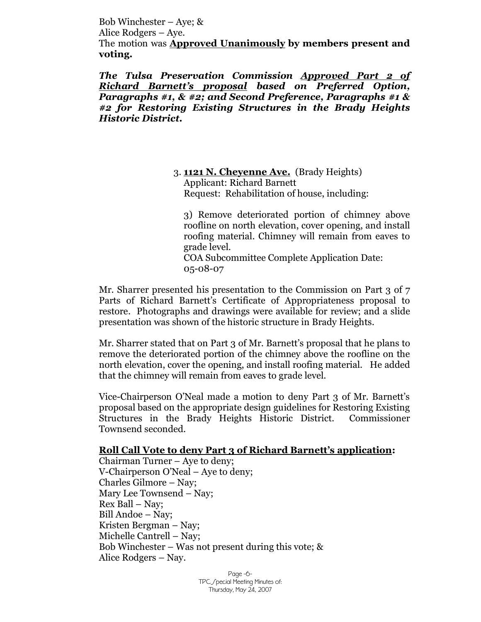Bob Winchester – Aye; & Alice Rodgers – Aye. The motion was **Approved Unanimously by members present and voting.**

*The Tulsa Preservation Commission Approved Part 2 of Richard Barnett's proposal based on Preferred Option, Paragraphs #1, & #2; and Second Preference, Paragraphs #1 & #2 for Restoring Existing Structures in the Brady Heights Historic District.*

> 3. **1121 N. Cheyenne Ave.** (Brady Heights) Applicant: Richard Barnett Request: Rehabilitation of house, including:

3) Remove deteriorated portion of chimney above roofline on north elevation, cover opening, and install roofing material. Chimney will remain from eaves to grade level.

COA Subcommittee Complete Application Date: 05-08-07

Mr. Sharrer presented his presentation to the Commission on Part 3 of 7 Parts of Richard Barnett's Certificate of Appropriateness proposal to restore. Photographs and drawings were available for review; and a slide presentation was shown of the historic structure in Brady Heights.

Mr. Sharrer stated that on Part 3 of Mr. Barnett's proposal that he plans to remove the deteriorated portion of the chimney above the roofline on the north elevation, cover the opening, and install roofing material. He added that the chimney will remain from eaves to grade level.

Vice-Chairperson O'Neal made a motion to deny Part 3 of Mr. Barnett's proposal based on the appropriate design guidelines for Restoring Existing Structures in the Brady Heights Historic District. Commissioner Townsend seconded.

# **Roll Call Vote to deny Part 3 of Richard Barnett's application:**

Chairman Turner – Aye to deny; V-Chairperson O'Neal – Aye to deny; Charles Gilmore – Nay; Mary Lee Townsend – Nay; Rex Ball – Nay; Bill Andoe – Nay; Kristen Bergman – Nay; Michelle Cantrell – Nay; Bob Winchester – Was not present during this vote;  $\&$ Alice Rodgers – Nay.

> Page -6- TPC Special Meeting Minutes of: Thursday, May 24, 2007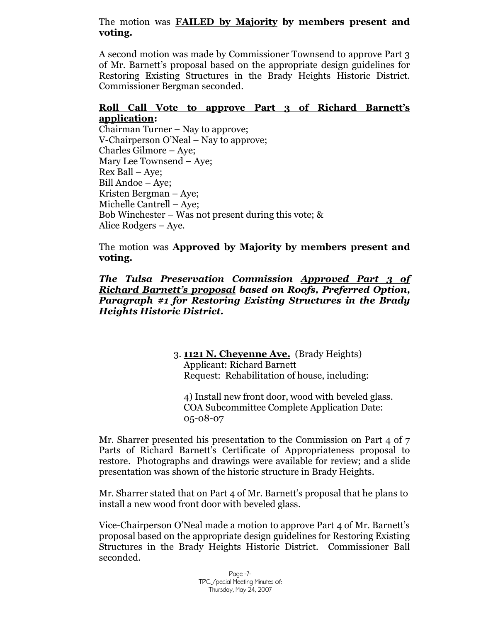# The motion was **FAILED by Majority by members present and voting.**

A second motion was made by Commissioner Townsend to approve Part 3 of Mr. Barnett's proposal based on the appropriate design guidelines for Restoring Existing Structures in the Brady Heights Historic District. Commissioner Bergman seconded.

# **Roll Call Vote to approve Part 3 of Richard Barnett's application:**

Chairman Turner – Nay to approve; V-Chairperson O'Neal – Nay to approve; Charles Gilmore –Aye; Mary Lee Townsend –Aye; Rex Ball –Aye; Bill Andoe –Aye; Kristen Bergman –Aye; Michelle Cantrell –Aye; Bob Winchester – Was not present during this vote; & Alice Rodgers –Aye.

The motion was **Approved by Majority by members present and voting.**

*The Tulsa Preservation Commission Approved Part 3 of Richard Barnett's proposal based on Roofs, Preferred Option, Paragraph #1 for Restoring Existing Structures in the Brady Heights Historic District.*

> 3. **1121 N. Cheyenne Ave.** (Brady Heights) Applicant: Richard Barnett Request: Rehabilitation of house, including:

4) Install new front door, wood with beveled glass. COA Subcommittee Complete Application Date: 05-08-07

Mr. Sharrer presented his presentation to the Commission on Part 4 of 7 Parts of Richard Barnett's Certificate of Appropriateness proposal to restore. Photographs and drawings were available for review; and a slide presentation was shown of the historic structure in Brady Heights.

Mr. Sharrer stated that on Part 4 of Mr. Barnett's proposal that he plans to install a new wood front door with beveled glass.

Vice-Chairperson O'Neal made a motion to approve Part 4 of Mr. Barnett's proposal based on the appropriate design guidelines for Restoring Existing Structures in the Brady Heights Historic District. Commissioner Ball seconded.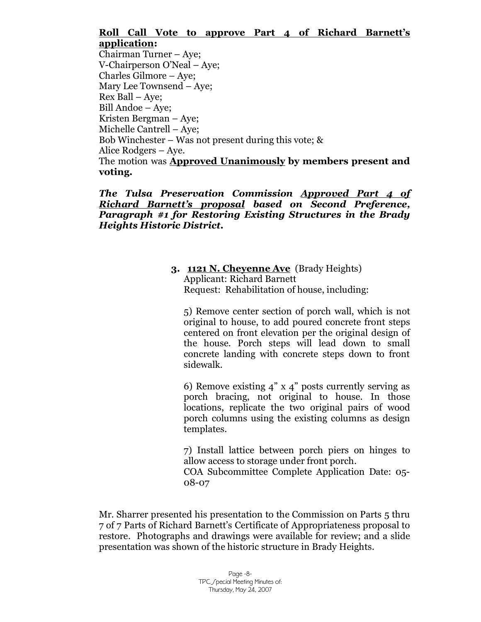# **Roll Call Vote to approve Part 4 of Richard Barnett's application:**

Chairman Turner – Aye; V-Chairperson O'Neal – Aye; Charles Gilmore – Aye; Mary Lee Townsend – Aye; Rex Ball – Aye; Bill Andoe – Aye; Kristen Bergman – Aye; Michelle Cantrell – Aye; Bob Winchester – Was not present during this vote; & Alice Rodgers – Aye. The motion was **Approved Unanimously by members present and voting.**

*The Tulsa Preservation Commission Approved Part 4 of Richard Barnett's proposal based on Second Preference, Paragraph #1 for Restoring Existing Structures in the Brady Heights Historic District.*

# **3. 1121 N. Cheyenne Ave** (Brady Heights) Applicant: Richard Barnett Request: Rehabilitation of house, including:

5) Remove center section of porch wall, which is not original to house, to add poured concrete front steps centered on front elevation per the original design of the house. Porch steps will lead down to small concrete landing with concrete steps down to front sidewalk.

6) Remove existing 4" x 4" posts currently serving as porch bracing, not original to house. In those locations, replicate the two original pairs of wood porch columns using the existing columns as design templates.

7) Install lattice between porch piers on hinges to allow access to storage under front porch.

COA Subcommittee Complete Application Date: 05- 08-07

Mr. Sharrer presented his presentation to the Commission on Parts 5 thru 7 of 7 Parts of Richard Barnett's Certificate of Appropriateness proposal to restore. Photographs and drawings were available for review; and a slide presentation was shown of the historic structure in Brady Heights.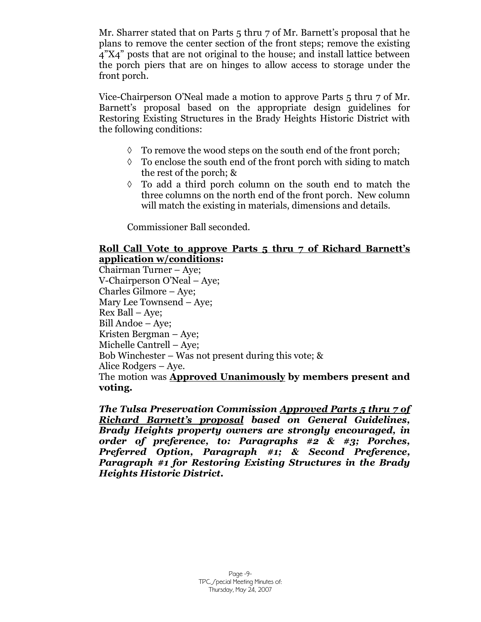Mr. Sharrer stated that on Parts 5 thru 7 of Mr. Barnett's proposal that he plans to remove the center section of the front steps; remove the existing 4"X4" posts that are not original to the house; and install lattice between the porch piers that are on hinges to allow access to storage under the front porch.

Vice-Chairperson O'Neal made a motion to approve Parts 5 thru 7 of Mr. Barnett's proposal based on the appropriate design guidelines for Restoring Existing Structures in the Brady Heights Historic District with the following conditions:

- $\Diamond$  To remove the wood steps on the south end of the front porch;
- $\Diamond$  To enclose the south end of the front porch with siding to match the rest of the porch; &
- To add a third porch column on the south end to match the three columns on the north end of the front porch. New column will match the existing in materials, dimensions and details.

Commissioner Ball seconded.

# **Roll Call Vote to approve Parts 5 thru 7 of Richard Barnett's application w/conditions:**

Chairman Turner – Aye; V-Chairperson O'Neal – Aye; Charles Gilmore – Aye; Mary Lee Townsend – Aye; Rex Ball – Aye; Bill Andoe – Aye; Kristen Bergman – Aye; Michelle Cantrell – Aye; Bob Winchester – Was not present during this vote; & Alice Rodgers – Aye. The motion was **Approved Unanimously by members present and voting.**

*The Tulsa Preservation Commission Approved Parts 5 thru 7 of Richard Barnett's proposal based on General Guidelines, Brady Heights property owners are strongly encouraged, in order of preference, to: Paragraphs #2 & #3; Porches, Preferred Option, Paragraph #1; & Second Preference, Paragraph #1 for Restoring Existing Structures in the Brady Heights Historic District.*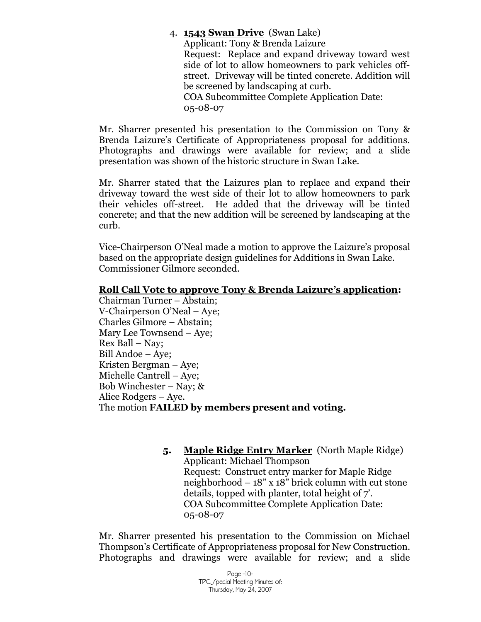# 4. **1543 Swan Drive** (Swan Lake) Applicant: Tony & Brenda Laizure Request: Replace and expand driveway toward west side of lot to allow homeowners to park vehicles offstreet. Driveway will be tinted concrete. Addition will

be screened by landscaping at curb. COA Subcommittee Complete Application Date: 05-08-07

Mr. Sharrer presented his presentation to the Commission on Tony & Brenda Laizure's Certificate of Appropriateness proposal for additions. Photographs and drawings were available for review; and a slide presentation was shown of the historic structure in Swan Lake.

Mr. Sharrer stated that the Laizures plan to replace and expand their driveway toward the west side of their lot to allow homeowners to park their vehicles off-street. He added that the driveway will be tinted concrete; and that the new addition will be screened by landscaping at the curb.

Vice-Chairperson O'Neal made a motion to approve the Laizure's proposal based on the appropriate design guidelines for Additions in Swan Lake. Commissioner Gilmore seconded.

# **Roll Call Vote to approve Tony & Brenda Laizure's application:**

Chairman Turner – Abstain; V-Chairperson O'Neal – Aye; Charles Gilmore – Abstain; Mary Lee Townsend – Aye;  $Rex$  Ball – Nay; Bill Andoe – Aye; Kristen Bergman – Aye; Michelle Cantrell – Aye; Bob Winchester – Nay;  $\&$ Alice Rodgers – Aye. The motion **FAILED by members present and voting.**

#### **5. Maple Ridge Entry Marker** (North Maple Ridge) Applicant: Michael Thompson Request: Construct entry marker for Maple Ridge neighborhood – 18" x 18" brick column with cut stone details, topped with planter, total height of 7'. COA Subcommittee Complete Application Date: 05-08-07

Mr. Sharrer presented his presentation to the Commission on Michael Thompson's Certificate of Appropriateness proposal for New Construction. Photographs and drawings were available for review; and a slide

> Page -10- TPC / pecial Meeting Minutes of: Thursday, May 24, 2007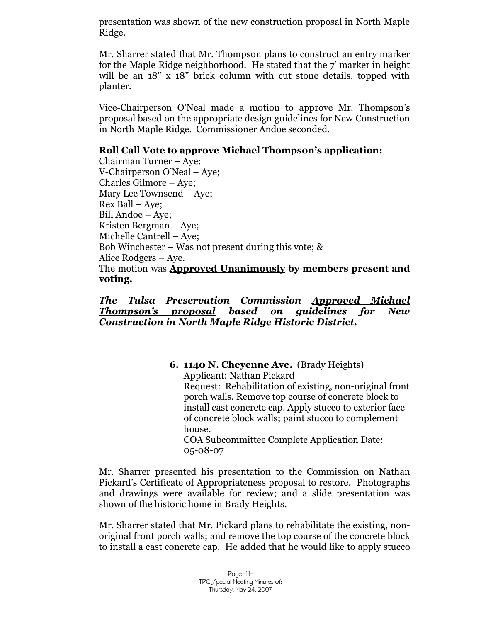presentation was shown of the new construction proposal in North Maple Ridge.

Mr. Sharrer stated that Mr. Thompson plans to construct an entry marker for the Maple Ridge neighborhood. He stated that the  $\gamma$  marker in height will be an  $18$ " x  $18$ " brick column with cut stone details, topped with planter.

Vice-Chairperson O'Neal made a motion to approve Mr. Thompson's proposal based on the appropriate design guidelines for New Construction in North Maple Ridge. Commissioner Andoe seconded.

# **Roll Call Vote to approve Michael Thompson's application:**

Chairman Turner – Aye; V-Chairperson O'Neal – Aye; Charles Gilmore – Aye; Mary Lee Townsend – Aye; Rex Ball – Aye; Bill Andoe – Aye; Kristen Bergman – Aye; Michelle Cantrell – Aye; Bob Winchester – Was not present during this vote;  $\&$ Alice Rodgers – Aye. The motion was **Approved Unanimously by members present and voting.**

*The Tulsa Preservation Commission Approved Michael Thompson's proposal based on guidelines for New Construction in North Maple Ridge Historic District.*

> **6. 1140 N. Cheyenne Ave.** (Brady Heights) Applicant: Nathan Pickard Request: Rehabilitation of existing, non-original front porch walls. Remove top course of concrete block to install cast concrete cap. Apply stucco to exterior face of concrete block walls; paint stucco to complement house. COA Subcommittee Complete Application Date: 05-08-07

Mr. Sharrer presented his presentation to the Commission on Nathan Pickard's Certificate of Appropriateness proposal to restore. Photographs and drawings were available for review; and a slide presentation was shown of the historic home in Brady Heights.

Mr. Sharrer stated that Mr. Pickard plans to rehabilitate the existing, nonoriginal front porch walls; and remove the top course of the concrete block to install a cast concrete cap. He added that he would like to apply stucco